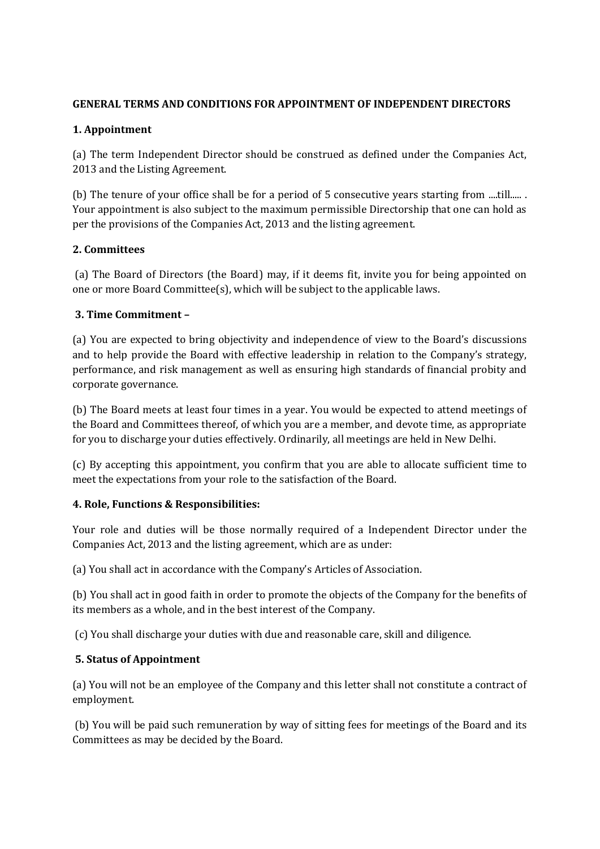# **GENERAL TERMS AND CONDITIONS FOR APPOINTMENT OF INDEPENDENT DIRECTORS**

# **1. Appointment**

(a) The term Independent Director should be construed as defined under the Companies Act, 2013 and the Listing Agreement.

(b) The tenure of your office shall be for a period of 5 consecutive years starting from ....till..... . Your appointment is also subject to the maximum permissible Directorship that one can hold as per the provisions of the Companies Act, 2013 and the listing agreement.

## **2. Committees**

(a) The Board of Directors (the Board) may, if it deems fit, invite you for being appointed on one or more Board Committee(s), which will be subject to the applicable laws.

## **3. Time Commitment –**

(a) You are expected to bring objectivity and independence of view to the Board's discussions and to help provide the Board with effective leadership in relation to the Company's strategy, performance, and risk management as well as ensuring high standards of financial probity and corporate governance.

(b) The Board meets at least four times in a year. You would be expected to attend meetings of the Board and Committees thereof, of which you are a member, and devote time, as appropriate for you to discharge your duties effectively. Ordinarily, all meetings are held in New Delhi.

(c) By accepting this appointment, you confirm that you are able to allocate sufficient time to meet the expectations from your role to the satisfaction of the Board.

# **4. Role, Functions & Responsibilities:**

Your role and duties will be those normally required of a Independent Director under the Companies Act, 2013 and the listing agreement, which are as under:

(a) You shall act in accordance with the Company's Articles of Association.

(b) You shall act in good faith in order to promote the objects of the Company for the benefits of its members as a whole, and in the best interest of the Company.

(c) You shall discharge your duties with due and reasonable care, skill and diligence.

# **5. Status of Appointment**

(a) You will not be an employee of the Company and this letter shall not constitute a contract of employment.

(b) You will be paid such remuneration by way of sitting fees for meetings of the Board and its Committees as may be decided by the Board.